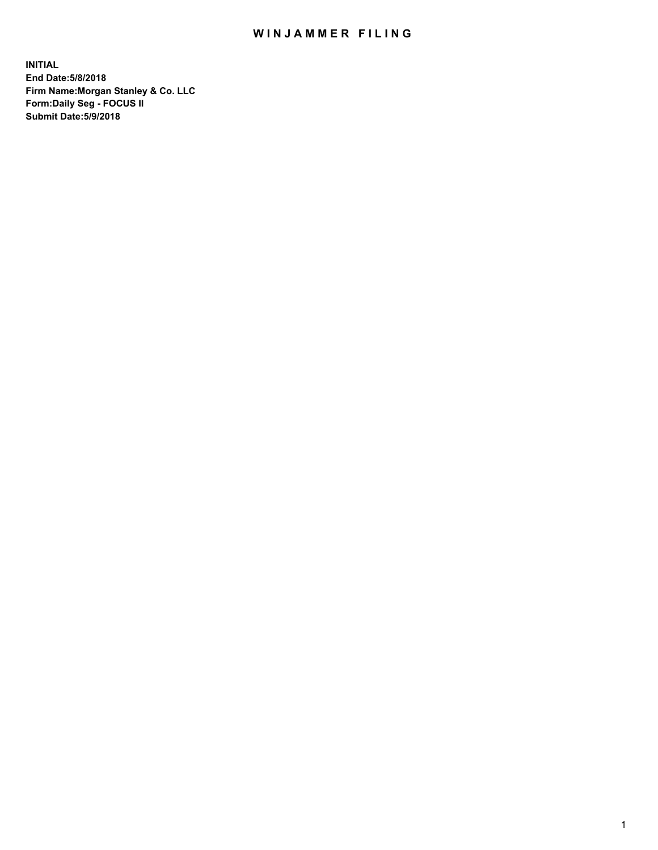## WIN JAMMER FILING

**INITIAL End Date:5/8/2018 Firm Name:Morgan Stanley & Co. LLC Form:Daily Seg - FOCUS II Submit Date:5/9/2018**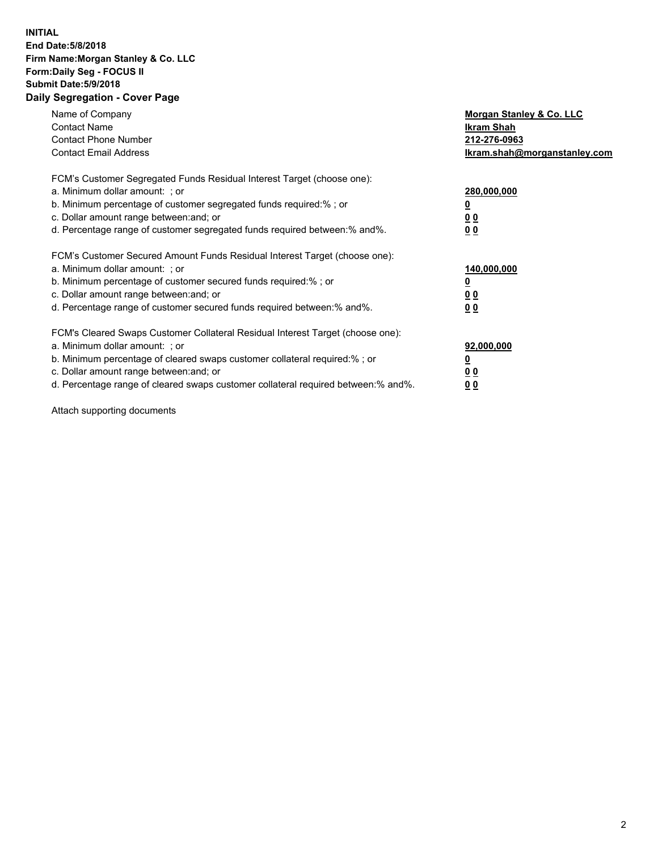## **INITIAL End Date:5/8/2018 Firm Name:Morgan Stanley & Co. LLC Form:Daily Seg - FOCUS II Submit Date:5/9/2018 Daily Segregation - Cover Page**

| Name of Company<br><b>Contact Name</b><br><b>Contact Phone Number</b><br><b>Contact Email Address</b>                                                                                                                                                                                                                         | Morgan Stanley & Co. LLC<br>Ikram Shah<br>212-276-0963<br>lkram.shah@morganstanley.com |
|-------------------------------------------------------------------------------------------------------------------------------------------------------------------------------------------------------------------------------------------------------------------------------------------------------------------------------|----------------------------------------------------------------------------------------|
| FCM's Customer Segregated Funds Residual Interest Target (choose one):<br>a. Minimum dollar amount: ; or<br>b. Minimum percentage of customer segregated funds required:%; or<br>c. Dollar amount range between: and; or<br>d. Percentage range of customer segregated funds required between:% and%.                         | 280,000,000<br><u>0</u><br>0 <sub>0</sub><br>0 <sub>0</sub>                            |
| FCM's Customer Secured Amount Funds Residual Interest Target (choose one):<br>a. Minimum dollar amount: ; or<br>b. Minimum percentage of customer secured funds required:%; or<br>c. Dollar amount range between: and; or<br>d. Percentage range of customer secured funds required between: % and %.                         | 140,000,000<br><u>0</u><br>0 <sub>0</sub><br>0 <sub>0</sub>                            |
| FCM's Cleared Swaps Customer Collateral Residual Interest Target (choose one):<br>a. Minimum dollar amount: ; or<br>b. Minimum percentage of cleared swaps customer collateral required:%; or<br>c. Dollar amount range between: and; or<br>d. Percentage range of cleared swaps customer collateral required between:% and%. | 92,000,000<br>0 <sub>0</sub><br>0 <sub>0</sub>                                         |

Attach supporting documents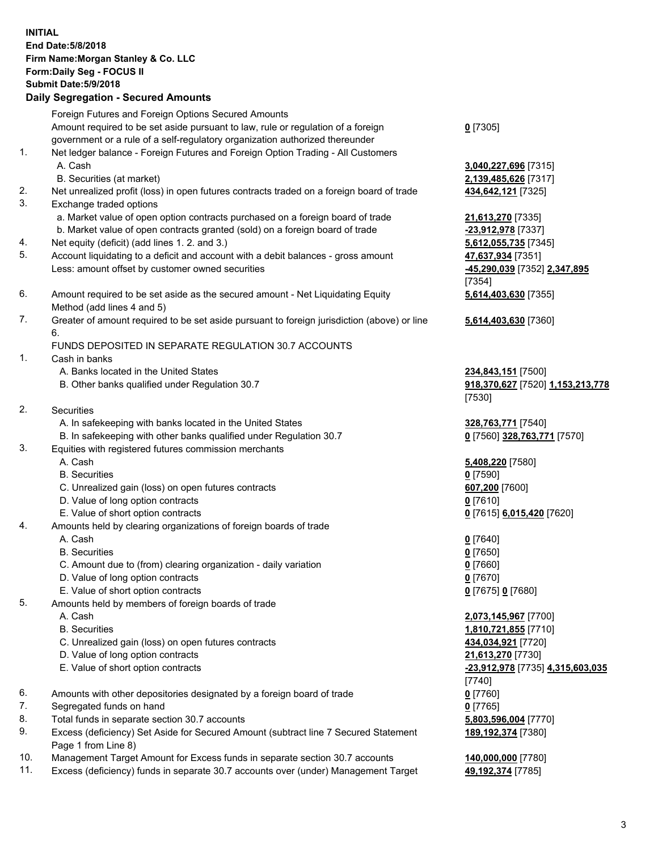## **INITIAL End Date:5/8/2018 Firm Name:Morgan Stanley & Co. LLC Form:Daily Seg - FOCUS II Submit Date:5/9/2018 Daily Segregation - Secured Amounts** Foreign Futures and Foreign Options Secured Amounts Amount required to be set aside pursuant to law, rule or regulation of a foreign government or a rule of a self-regulatory organization authorized thereunder **0** [7305] 1. Net ledger balance - Foreign Futures and Foreign Option Trading - All Customers A. Cash **3,040,227,696** [7315] B. Securities (at market) **2,139,485,626** [7317] 2. Net unrealized profit (loss) in open futures contracts traded on a foreign board of trade **434,642,121** [7325] 3. Exchange traded options a. Market value of open option contracts purchased on a foreign board of trade **21,613,270** [7335] b. Market value of open contracts granted (sold) on a foreign board of trade **-23,912,978** [7337] 4. Net equity (deficit) (add lines 1. 2. and 3.) **5,612,055,735** [7345] 5. Account liquidating to a deficit and account with a debit balances - gross amount **47,637,934** [7351] Less: amount offset by customer owned securities **-45,290,039** [7352] **2,347,895** 6. Amount required to be set aside as the secured amount - Net Liquidating Equity Method (add lines 4 and 5) 7. Greater of amount required to be set aside pursuant to foreign jurisdiction (above) or line 6. FUNDS DEPOSITED IN SEPARATE REGULATION 30.7 ACCOUNTS 1. Cash in banks A. Banks located in the United States **234,843,151** [7500] B. Other banks qualified under Regulation 30.7 **918,370,627** [7520] **1,153,213,778** 2. Securities A. In safekeeping with banks located in the United States **328,763,771** [7540] B. In safekeeping with other banks qualified under Regulation 30.7 **0** [7560] **328,763,771** [7570] 3. Equities with registered futures commission merchants A. Cash **5,408,220** [7580] B. Securities **0** [7590] C. Unrealized gain (loss) on open futures contracts **607,200** [7600] D. Value of long option contracts **0** [7610] E. Value of short option contracts **0** [7615] **6,015,420** [7620] 4. Amounts held by clearing organizations of foreign boards of trade A. Cash **0** [7640] B. Securities **0** [7650] C. Amount due to (from) clearing organization - daily variation **0** [7660] D. Value of long option contracts **0** [7670] E. Value of short option contracts **0** [7675] **0** [7680] 5. Amounts held by members of foreign boards of trade A. Cash **2,073,145,967** [7700] B. Securities **1,810,721,855** [7710] C. Unrealized gain (loss) on open futures contracts **434,034,921** [7720] D. Value of long option contracts **21,613,270** [7730] E. Value of short option contracts **-23,912,978** [7735] **4,315,603,035** 6. Amounts with other depositories designated by a foreign board of trade **0** [7760] 7. Segregated funds on hand **0** [7765] 8. Total funds in separate section 30.7 accounts **5,803,596,004** [7770]

- 9. Excess (deficiency) Set Aside for Secured Amount (subtract line 7 Secured Statement Page 1 from Line 8)
- 10. Management Target Amount for Excess funds in separate section 30.7 accounts **140,000,000** [7780]
- 11. Excess (deficiency) funds in separate 30.7 accounts over (under) Management Target **49,192,374** [7785]

[7354] **5,614,403,630** [7355]

**5,614,403,630** [7360]

[7530]

[7740] **189,192,374** [7380]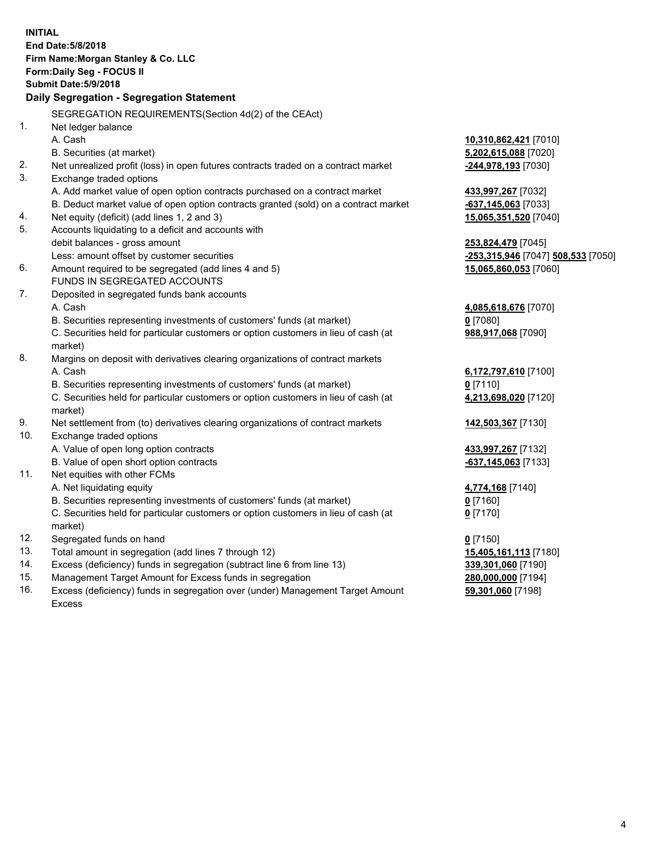**INITIAL End Date:5/8/2018 Firm Name:Morgan Stanley & Co. LLC Form:Daily Seg - FOCUS II Submit Date:5/9/2018 Daily Segregation - Segregation Statement** SEGREGATION REQUIREMENTS(Section 4d(2) of the CEAct) 1. Net ledger balance A. Cash **10,310,862,421** [7010] B. Securities (at market) **5,202,615,088** [7020] 2. Net unrealized profit (loss) in open futures contracts traded on a contract market **-244,978,193** [7030] 3. Exchange traded options A. Add market value of open option contracts purchased on a contract market **433,997,267** [7032] B. Deduct market value of open option contracts granted (sold) on a contract market **-637,145,063** [7033] 4. Net equity (deficit) (add lines 1, 2 and 3) **15,065,351,520** [7040] 5. Accounts liquidating to a deficit and accounts with debit balances - gross amount **253,824,479** [7045] Less: amount offset by customer securities **-253,315,946** [7047] **508,533** [7050] 6. Amount required to be segregated (add lines 4 and 5) **15,065,860,053** [7060] FUNDS IN SEGREGATED ACCOUNTS 7. Deposited in segregated funds bank accounts A. Cash **4,085,618,676** [7070] B. Securities representing investments of customers' funds (at market) **0** [7080] C. Securities held for particular customers or option customers in lieu of cash (at market) **988,917,068** [7090] 8. Margins on deposit with derivatives clearing organizations of contract markets A. Cash **6,172,797,610** [7100] B. Securities representing investments of customers' funds (at market) **0** [7110] C. Securities held for particular customers or option customers in lieu of cash (at market) **4,213,698,020** [7120] 9. Net settlement from (to) derivatives clearing organizations of contract markets **142,503,367** [7130] 10. Exchange traded options A. Value of open long option contracts **433,997,267** [7132] B. Value of open short option contracts **-637,145,063** [7133] 11. Net equities with other FCMs A. Net liquidating equity **4,774,168** [7140] B. Securities representing investments of customers' funds (at market) **0** [7160] C. Securities held for particular customers or option customers in lieu of cash (at market) **0** [7170] 12. Segregated funds on hand **0** [7150] 13. Total amount in segregation (add lines 7 through 12) **15,405,161,113** [7180] 14. Excess (deficiency) funds in segregation (subtract line 6 from line 13) **339,301,060** [7190] 15. Management Target Amount for Excess funds in segregation **280,000,000** [7194] 16. Excess (deficiency) funds in segregation over (under) Management Target Amount **59,301,060** [7198]

Excess